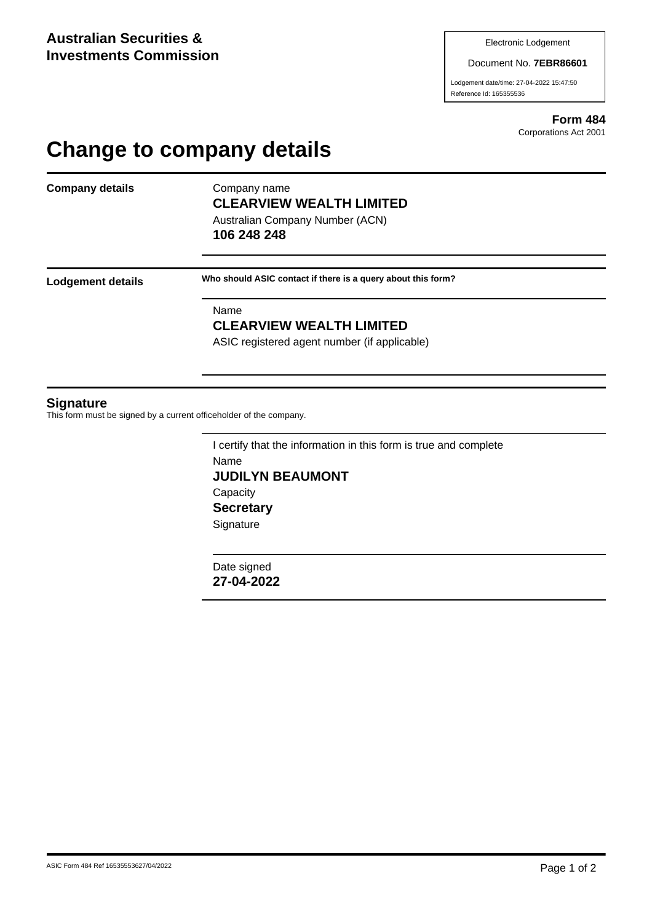#### Document No. **7EBR86601**

Lodgement date/time: 27-04-2022 15:47:50 Reference Id: 165355536

> **Form 484** Corporations Act 2001

# **Change to company details**

**Company details** Company name

# **CLEARVIEW WEALTH LIMITED**

Australian Company Number (ACN) **106 248 248**

**Lodgement details Who should ASIC contact if there is a query about this form?**

Name

### **CLEARVIEW WEALTH LIMITED**

ASIC registered agent number (if applicable)

#### **Signature**

This form must be signed by a current officeholder of the company.

I certify that the information in this form is true and complete Name **JUDILYN BEAUMONT Capacity Secretary Signature** 

Date signed **27-04-2022**